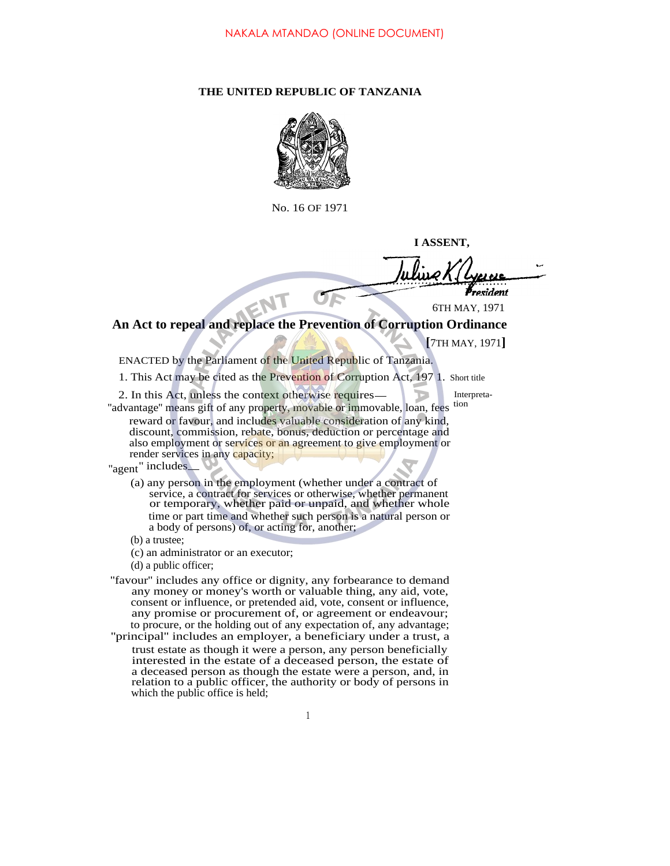## **THE UNITED REPUBLIC OF TANZANIA**



No. 16 OF 1971

**I ASSENT,**

ident

6TH MAY, 1971

**An Act to repeal and replace the Prevention of Corruption Ordinance**

**[**7TH MAY, 1971**]**

ENACTED by the Parliament of the United Republic of Tanzania.

1. This Act may be cited as the Prevention of Corruption Act, 197 1. Short title

2. In this Act, unless the context otherwise requires — Interpreta-"advantage" means gift of any property, movable or immovable, loan, fees tion

EN

reward or favour, and includes valuable consideration of any kind, discount, commission, rebate, bonus, deduction or percentage and also employment or services or an agreement to give employment or render services in any capacity;

"agent" includes

- (a) any person in the employment (whether under a contract of service, a contract for services or otherwise, whether permanent or temporary, whether paid or unpaid, and whether whole time or part time and whether such person is a natural person or a body of persons) of, or acting for, another;
- (b) a trustee;
- (c) an administrator or an executor;
- (d) a public officer;
- "favour" includes any office or dignity, any forbearance to demand any money or money's worth or valuable thing, any aid, vote, consent or influence, or pretended aid, vote, consent or influence, any promise or procurement of, or agreement or endeavour; to procure, or the holding out of any expectation of, any advantage; ''principal'' includes an employer, a beneficiary under a trust, a
- trust estate as though it were a person, any person beneficially interested in the estate of a deceased person, the estate of a deceased person as though the estate were a person, and, in relation to a public officer, the authority or body of persons in which the public office is held;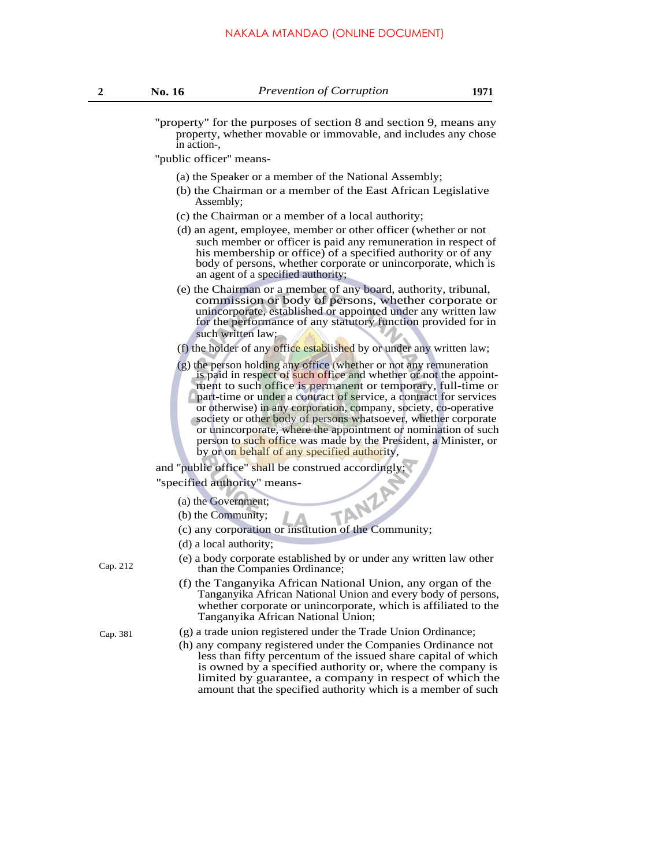''property'' for the purposes of section 8 and section 9, means any property, whether movable or immovable, and includes any chose in action-,

''public officer'' means-

- (a) the Speaker or a member of the National Assembly;
- (b) the Chairman or a member of the East African Legislative Assembly;
- (c) the Chairman or a member of a local authority;
- (d) an agent, employee, member or other officer (whether or not such member or officer is paid any remuneration in respect of his membership or office) of a specified authority or of any body of persons, whether corporate or unincorporate, which is an agent of a specified authority;
- (e) the Chairman or a member of any board, authority, tribunal, commission or body of persons, whether corporate or unincorporate, established or appointed under any written law for the performance of any statutory function provided for in such written law;
- (f) the holder of any office established by or under any written law;
- (g) the person holding any office (whether or not any remuneration is paid in respect of such office and whether or not the appointment to such office is permanent or temporary, full-time or part-time or under a contract of service, a contract for services or otherwise) in any corporation, company, society, co-operative society or other body of persons whatsoever, whether corporate or unincorporate, where the appointment or nomination of such person to such office was made by the President, a Minister, or by or on behalf of any specified authority,

and ''public office'' shall be construed accordingly;

''specified authority'' means-

(a) the Government;

- (b) the Community;
- (b) the Community;<br>(c) any corporation or institution of the Community;
- (d) a local authority;
- (e) a body corporate established by or under any written law other Cap. 212 than the Companies Ordinance;
	- (f) the Tanganyika African National Union, any organ of the Tanganyika African National Union and every body of persons, whether corporate or unincorporate, which is affiliated to the Tanganyika African National Union;
- Cap. 381 (g) a trade union registered under the Trade Union Ordinance;
	- (h) any company registered under the Companies Ordinance not less than fifty percentum of the issued share capital of which is owned by a specified authority or, where the company is limited by guarantee, a company in respect of which the amount that the specified authority which is a member of such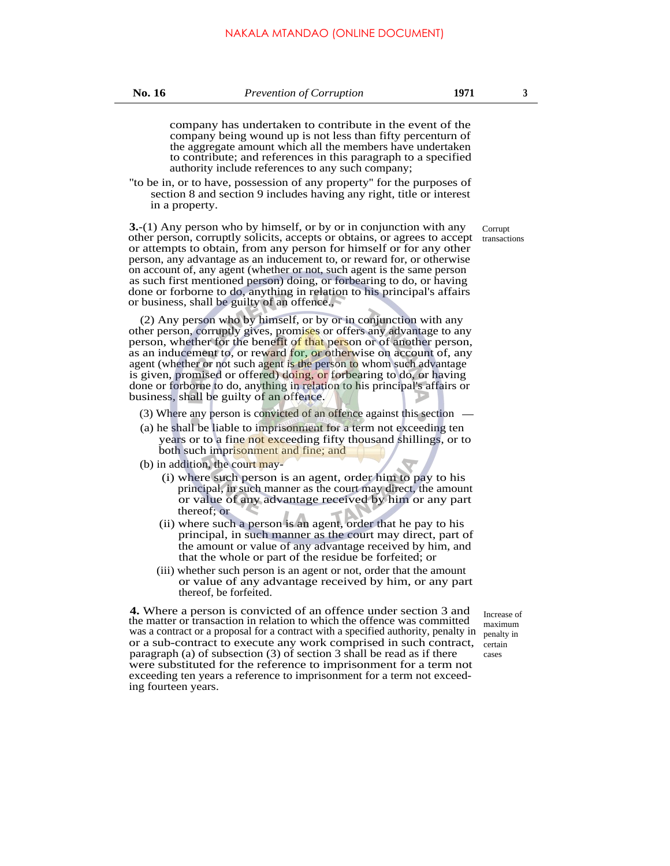company has undertaken to contribute in the event of the company being wound up is not less than fifty percenturn of the aggregate amount which all the members have undertaken to contribute; and references in this paragraph to a specified authority include references to any such company;

''to be in, or to have, possession of any property'' for the purposes of section 8 and section 9 includes having any right, title or interest in a property.

**3.**-(1) Any person who by himself, or by or in conjunction with any other person, corruptly solicits, accepts or obtains, or agrees to accept or attempts to obtain, from any person for himself or for any other person, any advantage as an inducement to, or reward for, or otherwise on account of, any agent (whether or not, such agent is the same person as such first mentioned person) doing, or forbearing to do, or having done or forborne to do, anything in relation to his principal's affairs or business, shall be guilty of an offence.,

(2) Any person who by himself, or by or in conjunction with any other person, corruptly gives, promises or offers any advantage to any person, whether for the benefit of that person or of another person, as an inducement to, or reward for, or otherwise on account of, any agent (whether or not such agent is the person to whom such advantage is given, promised or offered) doing, or forbearing to do, or having done or forborne to do, anything in relation to his principal's affairs or business, shall be guilty of an offence.

- (3) Where any person is convicted of an offence against this section
- (a) he shall be liable to imprisonment for a term not exceeding ten years or to a fine not exceeding fifty thousand shillings, or to both such imprisonment and fine; and
- (b) in addition, the court may-
	- (i) where such person is an agent, order him to pay to his principal, in such manner as the court may direct, the amount or value of any advantage received by him or any part thereof; or
	- (ii) where such a person is an agent, order that he pay to his principal, in such manner as the court may direct, part of the amount or value of any advantage received by him, and that the whole or part of the residue be forfeited; or
	- (iii) whether such person is an agent or not, order that the amount or value of any advantage received by him, or any part thereof, be forfeited.

**4.** Where a person is convicted of an offence under section 3 and the matter or transaction in relation to which the offence was committed was a contract or a proposal for a contract with a specified authority, penalty in or a sub-contract to execute any work comprised in such contract, certain paragraph (a) of subsection (3) of section 3 shall be read as if there were substituted for the reference to imprisonment for a term not exceeding ten years a reference to imprisonment for a term not exceeding fourteen years.

Increase of maximum penalty in cases

Corrupt transactions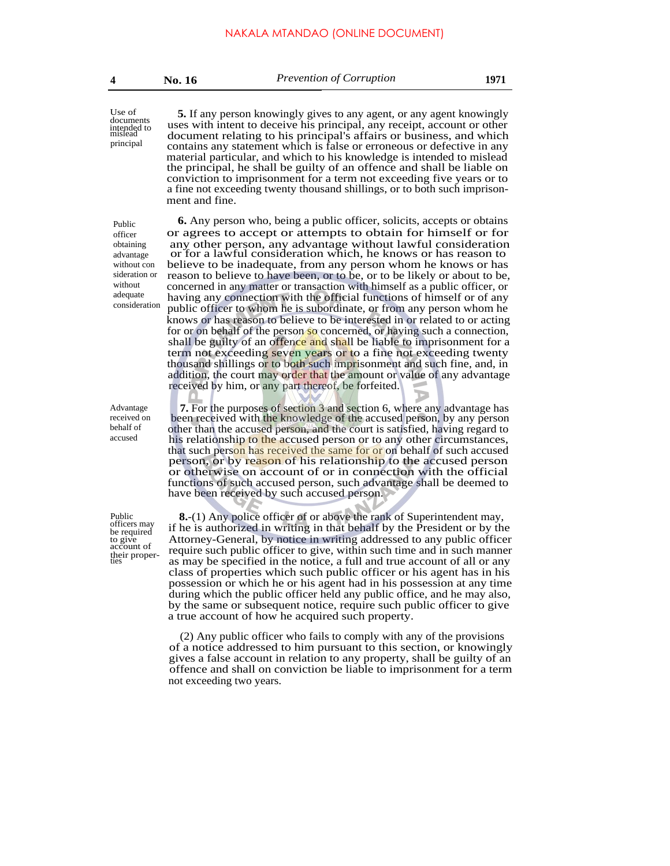Use of documents intended to mislead principal

**5.** If any person knowingly gives to any agent, or any agent knowingly uses with intent to deceive his principal, any receipt, account or other document relating to his principal's affairs or business, and which contains any statement which is false or erroneous or defective in any material particular, and which to his knowledge is intended to mislead the principal, he shall be guilty of an offence and shall be liable on conviction to imprisonment for a term not exceeding five years or to a fine not exceeding twenty thousand shillings, or to both such imprisonment and fine.

Public officer obtaining advantage without con sideration or without adequate consideration

Advantage received on behalf of accused

Public officers may be required to give account of their proper-ties

**6.** Any person who, being a public officer, solicits, accepts or obtains or agrees to accept or attempts to obtain for himself or for any other person, any advantage without lawful consideration or for a lawful consideration which, he knows or has reason to believe to be inadequate, from any person whom he knows or has reason to believe to have been, or to be, or to be likely or about to be, concerned in any matter or transaction with himself as a public officer, or having any connection with the official functions of himself or of any public officer to whom he is subordinate, or from any person whom he knows or has reason to believe to be interested in or related to or acting for or on behalf of the person so concerned, or having such a connection, shall be guilty of an offence and shall be liable to imprisonment for a term not exceeding seven years or to a fine not exceeding twenty thousand shillings or to both such imprisonment and such fine, and, in addition, the court may order that the amount or value of any advantage received by him, or any part thereof, be forfeited.

**7.** For the purposes of section 3 and section 6, where any advantage has been received with the knowledge of the accused person, by any person other than the accused person, and the court is satisfied, having regard to his relationship to the accused person or to any other circumstances, that such person has received the same for or on behalf of such accused person, or by reason of his relationship to the accused person or otherwise on account of or in connection with the official functions of such accused person, such advantage shall be deemed to have been received by such accused person.

**8.**-(1) Any police officer of or above the rank of Superintendent may, if he is authorized in writing in that behalf by the President or by the Attorney-General, by notice in writing addressed to any public officer require such public officer to give, within such time and in such manner as may be specified in the notice, a full and true account of all or any class of properties which such public officer or his agent has in his possession or which he or his agent had in his possession at any time during which the public officer held any public office, and he may also, by the same or subsequent notice, require such public officer to give a true account of how he acquired such property.

(2) Any public officer who fails to comply with any of the provisions of a notice addressed to him pursuant to this section, or knowingly gives a false account in relation to any property, shall be guilty of an offence and shall on conviction be liable to imprisonment for a term not exceeding two years.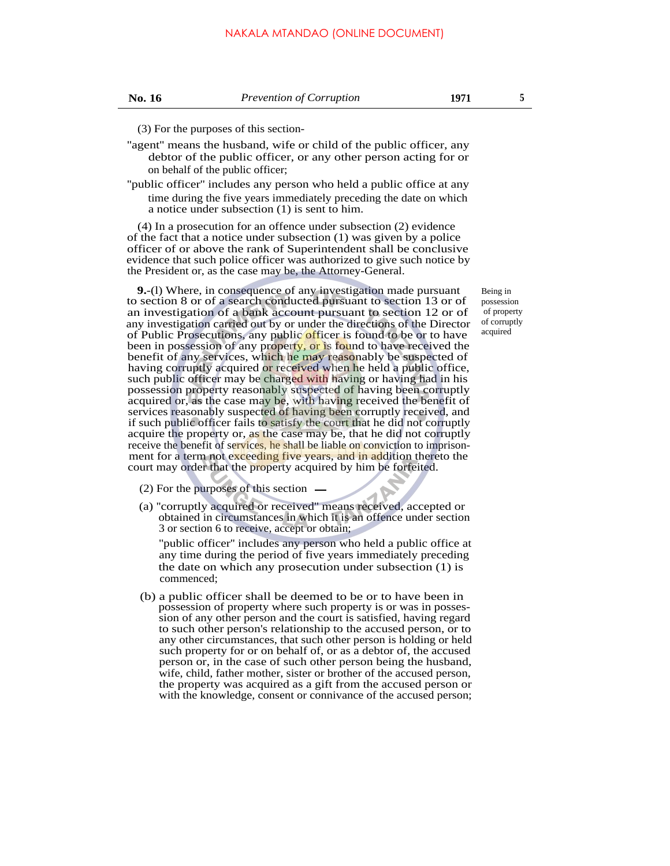(3) For the purposes of this section-

- ''agent'' means the husband, wife or child of the public officer, any debtor of the public officer, or any other person acting for or on behalf of the public officer;
- ''public officer'' includes any person who held a public office at any time during the five years immediately preceding the date on which a notice under subsection (1) is sent to him.

(4) In a prosecution for an offence under subsection (2) evidence of the fact that a notice under subsection (1) was given by a police officer of or above the rank of Superintendent shall be conclusive evidence that such police officer was authorized to give such notice by the President or, as the case may be, the Attorney-General.

**9.**-(l) Where, in consequence of any investigation made pursuant to section 8 or of a search conducted pursuant to section 13 or of an investigation of a bank account pursuant to section 12 or of any investigation carried out by or under the directions of the Director of Public Prosecutions, any public officer is found to be or to have been in possession of any property, or is found to have received the benefit of any services, which he may reasonably be suspected of having corruptly acquired or received when he held a public office, such public officer may be charged with having or having had in his possession property reasonably suspected of having been corruptly acquired or, as the case may be, with having received the benefit of services reasonably suspected of having been corruptly received, and if such public officer fails to satisfy the court that he did not corruptly acquire the property or, as the case may be, that he did not corruptly receive the benefit of services, he shall be liable on conviction to imprisonment for a term not exceeding five years, and in addition thereto the court may order that the property acquired by him be forfeited.

(2) For the purposes of this section

(a) ''corruptly acquired or received'' means received, accepted or obtained in circumstances in which it is an offence under section 3 or section 6 to receive, accept or obtain;

''public officer'' includes any person who held a public office at any time during the period of five years immediately preceding the date on which any prosecution under subsection (1) is commenced;

(b) a public officer shall be deemed to be or to have been in possession of property where such property is or was in possession of any other person and the court is satisfied, having regard to such other person's relationship to the accused person, or to any other circumstances, that such other person is holding or held such property for or on behalf of, or as a debtor of, the accused person or, in the case of such other person being the husband, wife, child, father mother, sister or brother of the accused person, the property was acquired as a gift from the accused person or with the knowledge, consent or connivance of the accused person;

Being in possession of property of corruptly acquired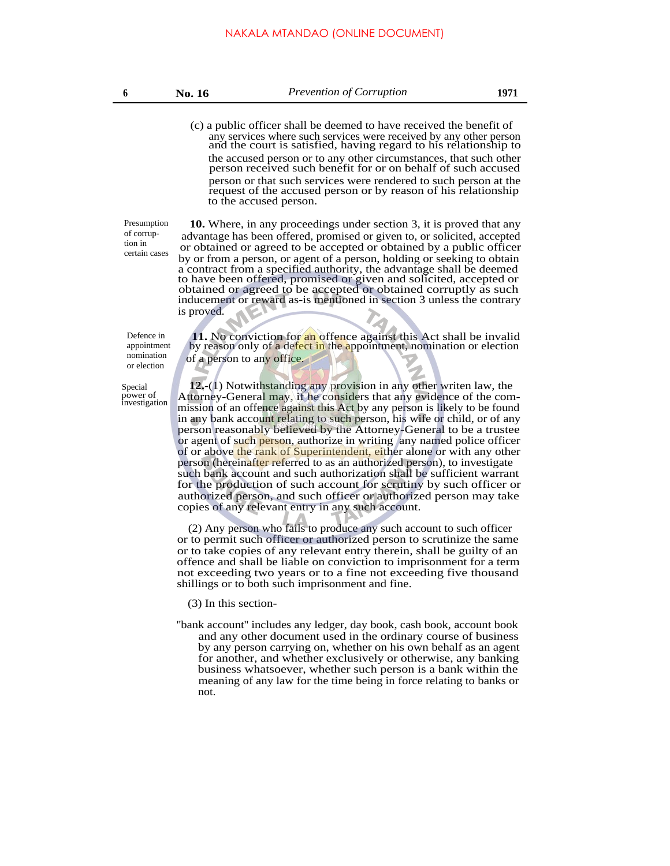(c) a public officer shall be deemed to have received the benefit of any services where such services were received by any other person and the court is satisfied, having regard to his relationship to the accused person or to any other circumstances, that such other person received such benefit for or on behalf of such accused person or that such services were rendered to such person at the request of the accused person or by reason of his relationship to the accused person.

Presumption of corruption in certain cases

**10.** Where, in any proceedings under section 3, it is proved that any advantage has been offered, promised or given to, or solicited, accepted or obtained or agreed to be accepted or obtained by a public officer by or from a person, or agent of a person, holding or seeking to obtain a contract from a specified authority, the advantage shall be deemed to have been offered, promised or given and solicited, accepted or obtained or agreed to be accepted or obtained corruptly as such inducement or reward as-is mentioned in section 3 unless the contrary is proved.

Defence in appointment nomination or election

Special power of investigation

**11.** No conviction for an offence against this Act shall be invalid by reason only of a defect in the appointment, nomination or election of a person to any office.

**12.**-(1) Notwithstanding any provision in any other writen law, the Attorney-General may, if he considers that any evidence of the commission of an offence against this Act by any person is likely to be found in any bank account relating to such person, his wife or child, or of any person reasonably believed by the Attorney-General to be a trustee or agent of such person, authorize in writing any named police officer of or above the rank of Superintendent, either alone or with any other person (hereinafter referred to as an authorized person), to investigate such bank account and such authorization shall be sufficient warrant for the production of such account for scrutiny by such officer or authorized person, and such officer or authorized person may take copies of any relevant entry in any such account.

(2) Any person who fails to produce any such account to such officer or to permit such officer or authorized person to scrutinize the same or to take copies of any relevant entry therein, shall be guilty of an offence and shall be liable on conviction to imprisonment for a term not exceeding two years or to a fine not exceeding five thousand shillings or to both such imprisonment and fine.

(3) In this section-

"bank account" includes any ledger, day book, cash book, account book and any other document used in the ordinary course of business by any person carrying on, whether on his own behalf as an agent for another, and whether exclusively or otherwise, any banking business whatsoever, whether such person is a bank within the meaning of any law for the time being in force relating to banks or not.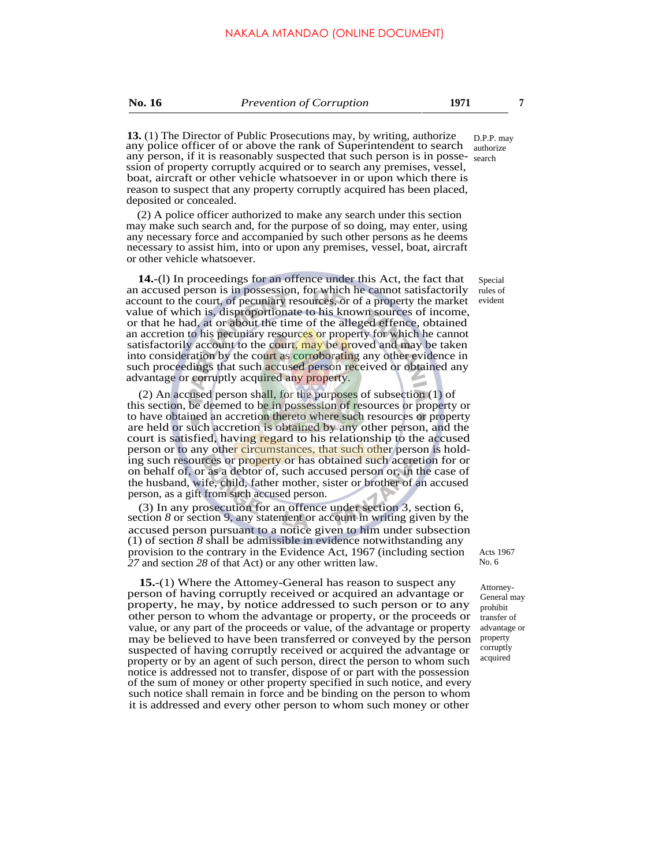**No. 16** *Prevention of Corruption* **1971 7**

**13.** (1) The Director of Public Prosecutions may, by writing, authorize any police officer of or above the rank of Superintendent to search authorize any person, if it is reasonably suspected that such person is in posse-search ssion of property corruptly acquired or to search any premises, vessel, boat, aircraft or other vehicle whatsoever in or upon which there is reason to suspect that any property corruptly acquired has been placed, deposited or concealed.

(2) A police officer authorized to make any search under this section may make such search and, for the purpose of so doing, may enter, using any necessary force and accompanied by such other persons as he deems necessary to assist him, into or upon any premises, vessel, boat, aircraft or other vehicle whatsoever.

**14.**-(l) In proceedings for an offence under this Act, the fact that an accused person is in possession, for which he cannot satisfactorily account to the court, of pecuniary resources, or of a property the market evident value of which is, disproportionate to his known sources of income, or that he had, at or about the time of the alleged effence, obtained an accretion to his pecuniary resources or property for which he cannot satisfactorily account to the court, may be proved and may be taken into consideration by the court as corroborating any other evidence in such proceedings that such accused person received or obtained any advantage or corruptly acquired any property.

(2) An accused person shall, for the purposes of subsection (1) of this section, be deemed to be in possession of resources or property or to have obtained an accretion thereto where such resources or property are held or such accretion is obtained by any other person, and the court is satisfied, having regard to his relationship to the accused person or to any other circumstances, that such other person is holding such resources or property or has obtained such accretion for or on behalf of, or as a debtor of, such accused person or, in the case of the husband, wife, child, father mother, sister or brother of an accused person, as a gift from such accused person.

(3) In any prosecution for an offence under section 3, section 6, section *8* or section 9, any statement or account in writing given by the accused person pursuant to a notice given to him under subsection (1) of section *8* shall be admissible in evidence notwithstanding any provision to the contrary in the Evidence Act, 1967 (including section *27* and section *28* of that Act) or any other written law.

**15.**-(1) Where the Attomey-General has reason to suspect any person of having corruptly received or acquired an advantage or property, he may, by notice addressed to such person or to any other person to whom the advantage or property, or the proceeds or value, or any part of the proceeds or value, of the advantage or property may be believed to have been transferred or conveyed by the person suspected of having corruptly received or acquired the advantage or property or by an agent of such person, direct the person to whom such notice is addressed not to transfer, dispose of or part with the possession of the sum of money or other property specified in such notice, and every such notice shall remain in force and be binding on the person to whom it is addressed and every other person to whom such money or other

D.P.P. may

Special rules of

Acts 1967 No. 6

Attorney-General may prohibit transfer of advantage or property corruptly acquired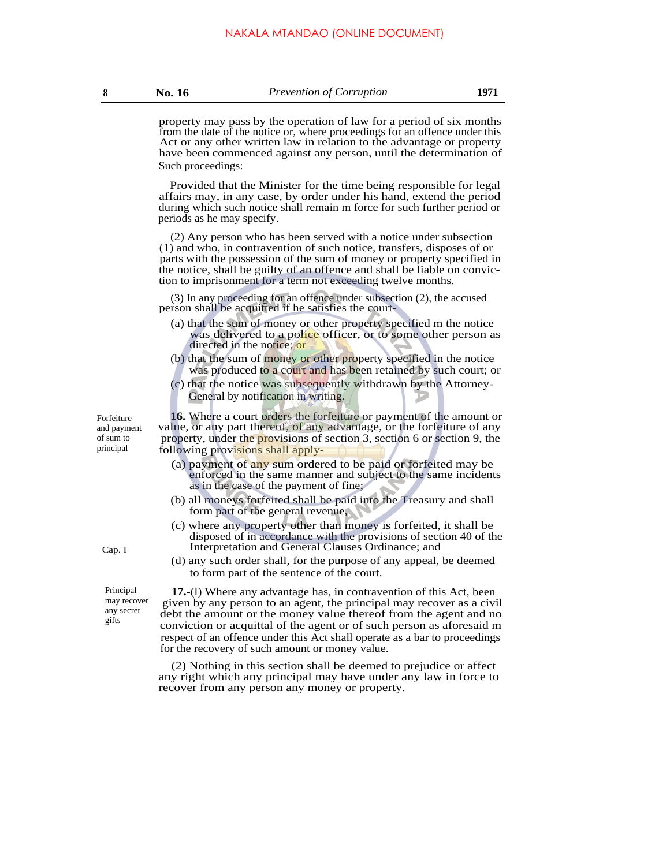property may pass by the operation of law for a period of six months from the date of the notice or, where proceedings for an offence under this Act or any other written law in relation to the advantage or property have been commenced against any person, until the determination of Such proceedings:

Provided that the Minister for the time being responsible for legal affairs may, in any case, by order under his hand, extend the period during which such notice shall remain m force for such further period or periods as he may specify.

(2) Any person who has been served with a notice under subsection (1) and who, in contravention of such notice, transfers, disposes of or parts with the possession of the sum of money or property specified in the notice, shall be guilty of an offence and shall be liable on conviction to imprisonment for a term not exceeding twelve months.

(3) In any proceeding for an offence under subsection (2), the accused person shall be acquitted if he satisfies the court-

- (a) that the sum of money or other property specified m the notice was delivered to a police officer, or to some other person as directed in the notice; or
- (b) that the sum of money or other property specified in the notice was produced to a court and has been retained by such court; or
- (c) that the notice was subsequently withdrawn by the Attorney-General by notification in writing.

**16.** Where a court orders the forfeiture or payment of the amount or value, or any part thereof, of any advantage, or the forfeiture of any property, under the provisions of section 3, section 6 or section 9, the following provisions shall apply-

- (a) payment of any sum ordered to be paid or forfeited may be enforced in the same manner and subject to the same incidents as in the case of the payment of fine;
- (b) all moneys forfeited shall be paid into the Treasury and shall form part of the general revenue,
- (c) where any property other than money is forfeited, it shall be disposed of in accordance with the provisions of section 40 of the Cap. I Interpretation and General Clauses Ordinance; and
	- (d) any such order shall, for the purpose of any appeal, be deemed to form part of the sentence of the court.

**17.**-(l) Where any advantage has, in contravention of this Act, been given by any person to an agent, the principal may recover as a civil debt the amount or the money value thereof from the agent and no conviction or acquittal of the agent or of such person as aforesaid m respect of an offence under this Act shall operate as a bar to proceedings for the recovery of such amount or money value.

(2) Nothing in this section shall be deemed to prejudice or affect any right which any principal may have under any law in force to recover from any person any money or property.

Forfeiture and payment of sum to principal

> Principal may recover any secret gifts